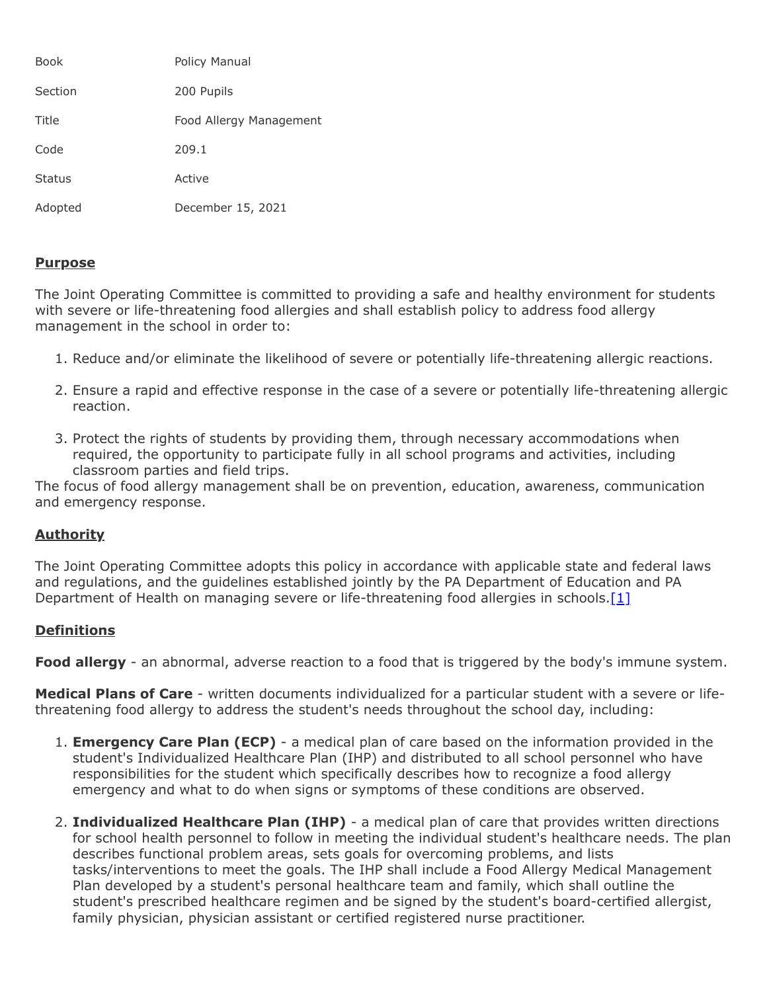| Book          | Policy Manual           |
|---------------|-------------------------|
| Section       | 200 Pupils              |
| Title         | Food Allergy Management |
| Code          | 209.1                   |
| <b>Status</b> | Active                  |
| Adopted       | December 15, 2021       |

## **Purpose**

The Joint Operating Committee is committed to providing a safe and healthy environment for students with severe or life-threatening food allergies and shall establish policy to address food allergy management in the school in order to:

- 1. Reduce and/or eliminate the likelihood of severe or potentially life-threatening allergic reactions.
- 2. Ensure a rapid and effective response in the case of a severe or potentially life-threatening allergic reaction.
- 3. Protect the rights of students by providing them, through necessary accommodations when required, the opportunity to participate fully in all school programs and activities, including classroom parties and field trips.

The focus of food allergy management shall be on prevention, education, awareness, communication and emergency response.

# **Authority**

The Joint Operating Committee adopts this policy in accordance with applicable state and federal laws and regulations, and the guidelines established jointly by the PA Department of Education and PA Department of Health on managing severe or life-threatening food allergies in schools.<sup>[1]</sup>

### **Definitions**

**Food allergy** - an abnormal, adverse reaction to a food that is triggered by the body's immune system.

**Medical Plans of Care** - written documents individualized for a particular student with a severe or lifethreatening food allergy to address the student's needs throughout the school day, including:

- 1. **Emergency Care Plan (ECP)**  a medical plan of care based on the information provided in the student's Individualized Healthcare Plan (IHP) and distributed to all school personnel who have responsibilities for the student which specifically describes how to recognize a food allergy emergency and what to do when signs or symptoms of these conditions are observed.
- 2. **Individualized Healthcare Plan (IHP)**  a medical plan of care that provides written directions for school health personnel to follow in meeting the individual student's healthcare needs. The plan describes functional problem areas, sets goals for overcoming problems, and lists tasks/interventions to meet the goals. The IHP shall include a Food Allergy Medical Management Plan developed by a student's personal healthcare team and family, which shall outline the student's prescribed healthcare regimen and be signed by the student's board-certified allergist, family physician, physician assistant or certified registered nurse practitioner.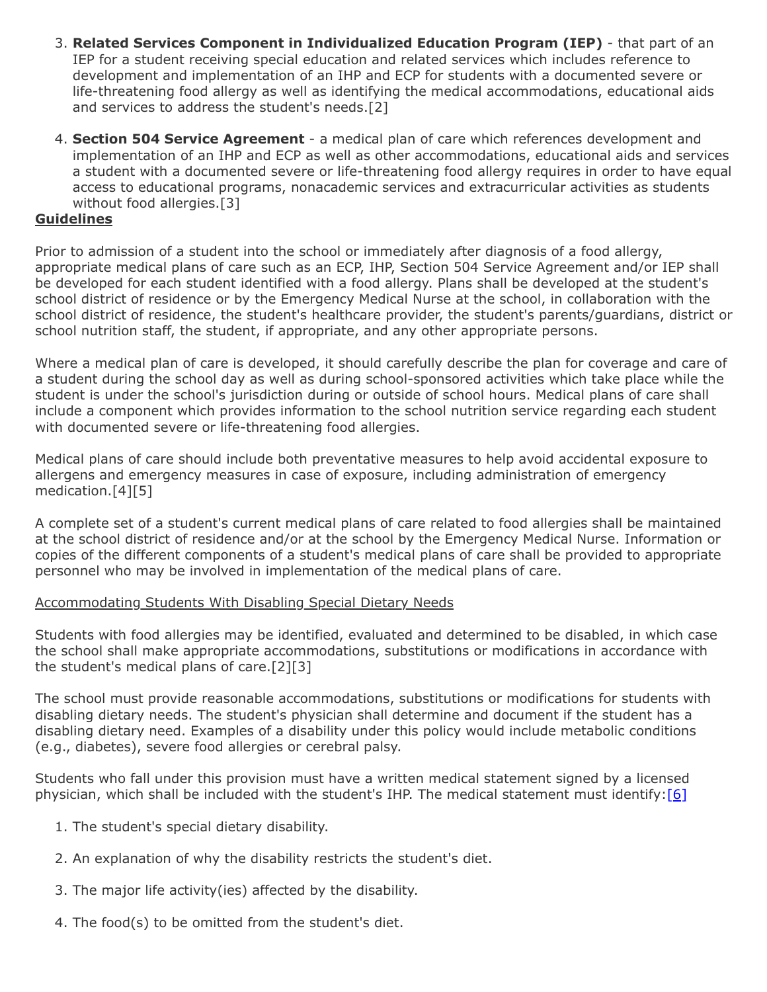- 3. **Related Services Component in Individualized Education Program (IEP)**  that part of an IEP for a student receiving special education and related services which includes reference to development and implementation of an IHP and ECP for students with a documented severe or life-threatening food allergy as well as identifying the medical accommodations, educational aids and services to address the student's needs.[2]
- 4. **Section 504 Service Agreement**  a medical plan of care which references development and implementation of an IHP and ECP as well as other accommodations, educational aids and services a student with a documented severe or life-threatening food allergy requires in order to have equal access to educational programs, nonacademic services and extracurricular activities as students without food allergies.[3]

## **Guidelines**

Prior to admission of a student into the school or immediately after diagnosis of a food allergy, appropriate medical plans of care such as an ECP, IHP, Section 504 Service Agreement and/or IEP shall be developed for each student identified with a food allergy. Plans shall be developed at the student's school district of residence or by the Emergency Medical Nurse at the school, in collaboration with the school district of residence, the student's healthcare provider, the student's parents/guardians, district or school nutrition staff, the student, if appropriate, and any other appropriate persons.

Where a medical plan of care is developed, it should carefully describe the plan for coverage and care of a student during the school day as well as during school-sponsored activities which take place while the student is under the school's jurisdiction during or outside of school hours. Medical plans of care shall include a component which provides information to the school nutrition service regarding each student with documented severe or life-threatening food allergies.

Medical plans of care should include both preventative measures to help avoid accidental exposure to allergens and emergency measures in case of exposure, including administration of emergency medication.[4][5]

A complete set of a student's current medical plans of care related to food allergies shall be maintained at the school district of residence and/or at the school by the Emergency Medical Nurse. Information or copies of the different components of a student's medical plans of care shall be provided to appropriate personnel who may be involved in implementation of the medical plans of care.

### Accommodating Students With Disabling Special Dietary Needs

Students with food allergies may be identified, evaluated and determined to be disabled, in which case the school shall make appropriate accommodations, substitutions or modifications in accordance with the student's medical plans of care.[2][3]

The school must provide reasonable accommodations, substitutions or modifications for students with disabling dietary needs. The student's physician shall determine and document if the student has a disabling dietary need. Examples of a disability under this policy would include metabolic conditions (e.g., diabetes), severe food allergies or cerebral palsy.

Students who fall under this provision must have a written medical statement signed by a licensed physician, which shall be included with the student's IHP. The medical statement must identify[:\[6\]](http://www.law.cornell.edu/cfr/text/7/15b.40)

- 1. The student's special dietary disability.
- 2. An explanation of why the disability restricts the student's diet.
- 3. The major life activity(ies) affected by the disability.
- 4. The food(s) to be omitted from the student's diet.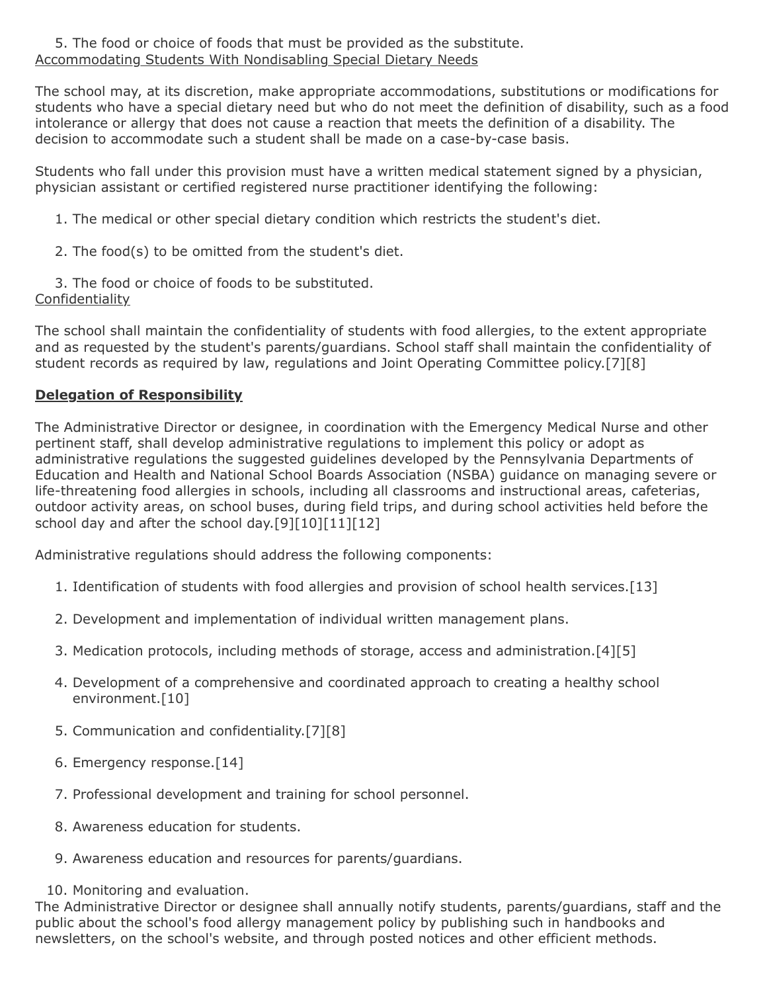5. The food or choice of foods that must be provided as the substitute. Accommodating Students With Nondisabling Special Dietary Needs

The school may, at its discretion, make appropriate accommodations, substitutions or modifications for students who have a special dietary need but who do not meet the definition of disability, such as a food intolerance or allergy that does not cause a reaction that meets the definition of a disability. The decision to accommodate such a student shall be made on a case-by-case basis.

Students who fall under this provision must have a written medical statement signed by a physician, physician assistant or certified registered nurse practitioner identifying the following:

- 1. The medical or other special dietary condition which restricts the student's diet.
- 2. The food(s) to be omitted from the student's diet.
- 3. The food or choice of foods to be substituted.

### Confidentiality

The school shall maintain the confidentiality of students with food allergies, to the extent appropriate and as requested by the student's parents/guardians. School staff shall maintain the confidentiality of student records as required by law, regulations and Joint Operating Committee policy.[7][8]

## **Delegation of Responsibility**

The Administrative Director or designee, in coordination with the Emergency Medical Nurse and other pertinent staff, shall develop administrative regulations to implement this policy or adopt as administrative regulations the suggested guidelines developed by the Pennsylvania Departments of Education and Health and National School Boards Association (NSBA) guidance on managing severe or life-threatening food allergies in schools, including all classrooms and instructional areas, cafeterias, outdoor activity areas, on school buses, during field trips, and during school activities held before the school day and after the school day.[9][10][11][12]

Administrative regulations should address the following components:

- 1. Identification of students with food allergies and provision of school health services.[13]
- 2. Development and implementation of individual written management plans.
- 3. Medication protocols, including methods of storage, access and administration.[4][5]
- 4. Development of a comprehensive and coordinated approach to creating a healthy school environment.[10]
- 5. Communication and confidentiality.[7][8]
- 6. Emergency response.[14]
- 7. Professional development and training for school personnel.
- 8. Awareness education for students.
- 9. Awareness education and resources for parents/guardians.

### 10. Monitoring and evaluation.

The Administrative Director or designee shall annually notify students, parents/guardians, staff and the public about the school's food allergy management policy by publishing such in handbooks and newsletters, on the school's website, and through posted notices and other efficient methods.